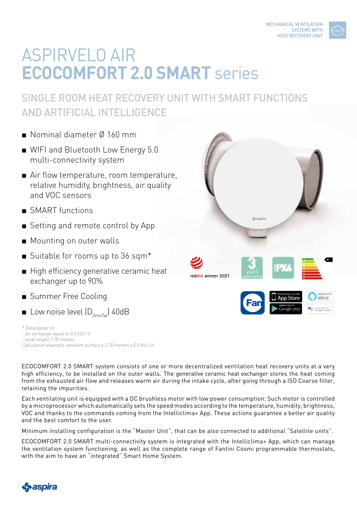

# ASPIRVELO AIR **ECOCOMFORT 2.0 SMART** series

## SINGLE ROOM HEAT RECOVERY UNIT WITH SMART FUNCTIONS AND ARTIFICIAL INTELLIGENCE

- Nominal diameter Ø 160 mm
- WIFI and Bluetooth Low Energy 5.0 multi-connectivity system
- Air flow temperature, room temperature, relative humidity, brightness, air quality and VOC sensors
- SMART functions
- Setting and remote control by App
- Mounting on outer walls
- Suitable for rooms up to 36 sqm\*

Calculation example: ambient surface x 2.70 meters x 0.5 Vol / h

- High efficiency generative ceramic heat exchanger up to 90%
- Summer Free Cooling

- air exchange equal to 0.5 Vol / h - local height 2.70 meters

retaining the impurities.

\* Data based on:

**■** Low noise level  $(D_{2mnTw})$  40dB

dyaspira **A+** reddot winner 2021 warranty**48 m³/h** alexa

> ENERGIA - ENERGIA - ENERGIA - ENERGIA - ENERGIA - ENERGIA - ENERGIA - ENERGIA - ENERGIA - ENERGIA - ENERGIA - ENERGIA - ENERGIA - ENERGIA - ENERGIA - ENERGIA - ENERGIA - ENERGIA - ENERGIA - ENERGIA - ENERGIA - ENERGIA - EN **2016 1254/2014**

ECOCOMFORT 2.0 SMART system consists of one or more decentralized ventilation heat recovery units at a very high efficiency, to be installed on the outer walls. The generative ceramic heat exchanger stores the heat coming from the exhausted air flow and releases warm air during the intake cycle, after going through a ISO Coarse filter,

Each ventilating unit is equipped with a DC brushless motor with low power consumption. Such motor is controlled by a microprocessor which automatically sets the speed modes according to the temperature, humidity, brightness, VOC and thanks to the commands coming from the Intelliclima+ App. These actions guarantee a better air quality and the best comfort to the user.

Minimum installing configuration is the "Master Unit", that can be also connected to additional "Satellite units".

ECOCOMFORT 2.0 SMART multi-connectivity system is integrated with the Intelliclima+ App, which can manage the ventilation system functioning, as well as the complete range of Fantini Cosmi programmable thermostats, with the aim to have an "integrated" Smart Home System.

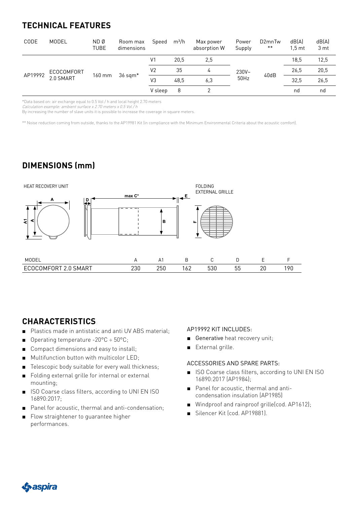## **TECHNICAL FEATURES**

| CODE    | MODEL                   | ND Ø<br><b>TUBE</b> | Room max<br>dimensions | Speed          | $m^3/h$ | Max power<br>absorption W | Power<br>Supply  | D <sub>2</sub> mnTw<br>** | dB(A)<br>1.5 <sub>mt</sub> | dB(A)<br>3 mt |
|---------|-------------------------|---------------------|------------------------|----------------|---------|---------------------------|------------------|---------------------------|----------------------------|---------------|
| AP19992 | ECOCOMFORT<br>2.0 SMART | 160 mm              | $36$ sqm $*$           | V <sub>1</sub> | 20.5    | 2,5                       | $230V -$<br>50Hz | 40dB                      | 18,5                       | 12,5          |
|         |                         |                     |                        | V <sub>2</sub> | 35      | 4                         |                  |                           | 26,5                       | 20,5          |
|         |                         |                     |                        | V <sub>3</sub> | 48.5    | 6,3                       |                  |                           | 32.5                       | 26,5          |
|         |                         |                     |                        | V sleep        | 8       |                           |                  |                           | nd                         | nd            |

\*Data based on: air exchange equal to 0.5 Vol / h and local height 2.70 meters

Calculation example: ambient surface x 2.70 meters x 0.5 Vol / h

By increasing the number of slave units it is possible to increase the coverage in square meters.

\*\* Noise reduction coming from outside, thanks to the AP19981 Kit (in compliance with the Minimum Environmental Criteria about the acoustic comfort).

## **DIMENSIONS (mm)**



#### **CHARACTERISTICS**:

- Plastics made in antistatic and anti UV ABS material;
- Operating temperature -20°C ÷ 50°C;
- Compact dimensions and easy to install;
- Multifunction button with multicolor LED;
- Telescopic body suitable for every wall thickness;
- Folding external grille for internal or external mounting;
- ISO Coarse class filters, according to UNI EN ISO 16890:2017;
- Panel for acoustic, thermal and anti-condensation:
- Flow straightener to quarantee higher performances.

#### AP19992 KIT INCLUDES:

- Generative heat recovery unit;
- External grille.

#### ACCESSORIES AND SPARE PARTS:

- ISO Coarse class filters, according to UNI EN ISO 16890:2017 (AP1984);
- Panel for acoustic, thermal and anticondensation insulation (AP1985)
- Windproof and rainproof grille(cod. AP1612);
- Silencer Kit (cod. AP19881).

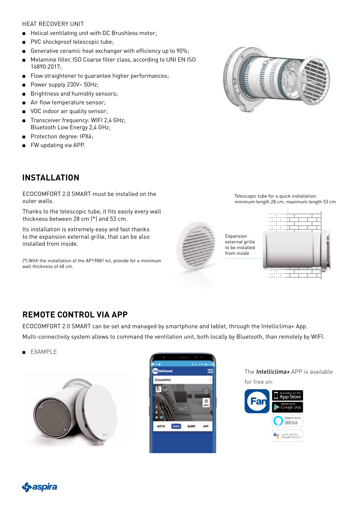#### HEAT RECOVERY UNIT

- Helical ventilating unit with DC Brushless motor;
- PVC shockproof telescopic tube;
- Generative ceramic heat exchanger with efficiency up to 90%;
- Melamine filter, ISO Coarse filter class, according to UNI EN ISO 16890:2017;
- Flow straightener to quarantee higher performances;
- Power supply 230V~ 50Hz;
- Brightness and humidity sensors;
- Air flow temperature sensor:
- VOC indoor air quality sensor:
- Transceiver frequency: WIFI 2,4 GHz; Bluetooth Low Energy 2,4 GHz;

ECOCOMFORT 2.0 SMART must be installed on the

Thanks to the telescopic tube, it fits easily every wall

(\*) With the installation of the AP19881 kit, provide for a minimum

Its installation is extremely easy and fast thanks to the expansion external grille, that can be also

thickness between 28 cm (\*) and 53 cm.

- Protection degree: IPX4;
- FW updating via APP.

**INSTALLATION**

installed from inside.

wall thickness of 48 cm.

outer walls.



Telescopic tube for a quick installation: minimum length 28 cm, maximum length 53 cm



Expansion external grille to be installed from inside



### **REMOTE CONTROL VIA APP**

ECOCOMFORT 2.0 SMART can be set and managed by smartphone and tablet, through the Intelliclima+ App.

Multi-connectivity system allows to command the ventilation unit, both locally by Bluetooth, than remotely by WIFI.

**EXAMPLE** 





The **Intelliclima+** APP is available for free on:



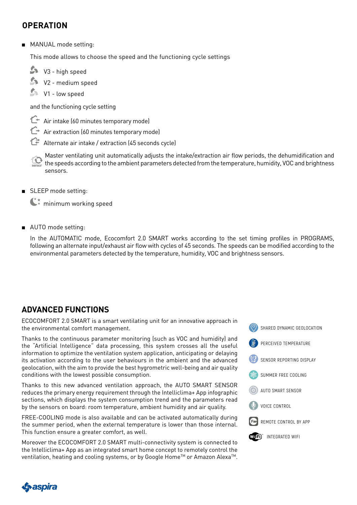#### **OPERATION**

■ MANUAL mode setting:

This mode allows to choose the speed and the functioning cycle settings

- V3 high speed
- V2 medium speed
- V1 low speed

and the functioning cycle setting

- $\mathbb{C}^+$  Air intake (60 minutes temporary mode)
- $\hat{C}$  Air extraction (60 minutes temporary mode)
- Alternate air intake / extraction (45 seconds cycle)

Master ventilating unit automatically adjusts the intake/extraction air flow periods, the dehumidification and 10  $^\prime$  the speeds according to the ambient parameters detected from the temperature, humidity, VOC and brightness sensors.

■ SLEEP mode setting:

 $\mathbb{C}^*$  minimum working speed

■ AUTO mode setting:

In the AUTOMATIC mode, Ecocomfort 2.0 SMART works according to the set timing profiles in PROGRAMS, following an alternate input/exhaust air flow with cycles of 45 seconds. The speeds can be modified according to the environmental parameters detected by the temperature, humidity, VOC and brightness sensors.

## **ADVANCED FUNCTIONS**

ECOCOMFORT 2.0 SMART is a smart ventilating unit for an innovative approach in the environmental comfort management.

Thanks to the continuous parameter monitoring (such as VOC and humidity) and the "Artificial Intelligence" data processing, this system crosses all the useful information to optimize the ventilation system application, anticipating or delaying its activation according to the user behaviours in the ambient and the advanced geolocation, with the aim to provide the best hygrometric well-being and air quality conditions with the lowest possible consumption.

Thanks to this new advanced ventilation approach, the AUTO SMART SENSOR reduces the primary energy requirement through the Intelliclima+ App infographic sections, which displays the system consumption trend and the parameters read by the sensors on board: room temperature, ambient humidity and air quality.

FREE-COOLING mode is also available and can be activated automatically during the summer period, when the external temperature is lower than those internal. This function ensure a greater comfort, as well.

Moreover the ECOCOMFORT 2.0 SMART multi-connectivity system is connected to the Intelliclima+ App as an integrated smart home concept to remotely control the ventilation, heating and cooling systems, or by Google Home™ or Amazon Alexa™.



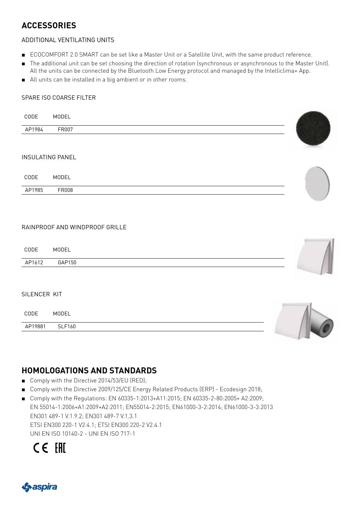## **ACCESSORIES**

#### ADDITIONAL VENTILATING UNITS

- ECOCOMFORT 2.0 SMART can be set like a Master Unit or a Satellite Unit, with the same product reference.
- The additional unit can be set choosing the direction of rotation (synchronous or asynchronous to the Master Unit). All the units can be connected by the Bluetooth Low Energy protocol and managed by the Intelliclima+ App.
- All units can be installed in a big ambient or in other rooms.

#### SPARE ISO COARSE FILTER

| CODE                    | MODEL                          |  |
|-------------------------|--------------------------------|--|
| AP1984                  | FR007                          |  |
| <b>INSULATING PANEL</b> |                                |  |
|                         |                                |  |
| CODE                    | MODEL                          |  |
| AP1985                  | FR008                          |  |
|                         |                                |  |
|                         | RAINPROOF AND WINDPROOF GRILLE |  |
|                         |                                |  |
| CODE                    | MODEL                          |  |
| AP1612                  | GAP150                         |  |
|                         |                                |  |
| SILENCER KIT            |                                |  |
| CODE                    | MODEL                          |  |
| AP19881                 | <b>SLF160</b>                  |  |
|                         |                                |  |

#### **HOMOLOGATIONS AND STANDARDS**

- Comply with the Directive 2014/53/EU (RED);
- Comply with the Directive 2009/125/CE Energy Related Products (ERP) Ecodesign 2018;
- Comply with the Regulations: EN 60335-1:2013+A11:2015; EN 60335-2-80:2005+ A2:2009; EN 55014-1:2006+A1:2009+A2:2011; EN55014-2:2015; EN61000-3-2:2014; EN61000-3-3:2013 EN301 489-1 V.1.9.2; EN301 489-7 V.1.3.1 ETSI EN300 220-1 V2.4.1; ETSI EN300 220-2 V2.4.1

UNI EN ISO 10140-2 - UNI EN ISO 717-1